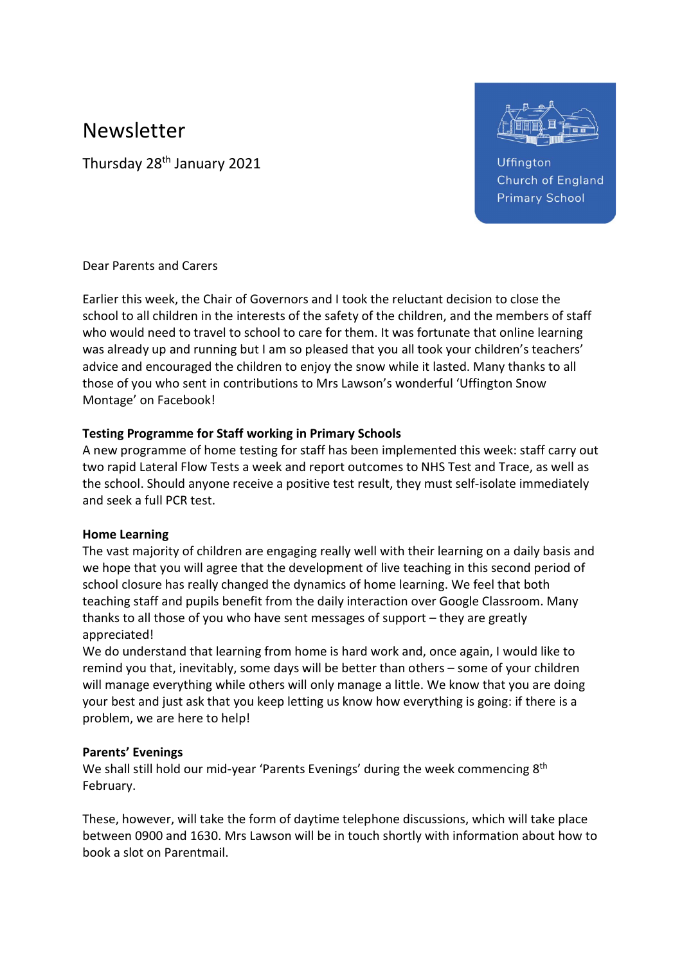# Newsletter

Thursday 28<sup>th</sup> January 2021



Uffington Church of England **Primary School** 

Dear Parents and Carers

Earlier this week, the Chair of Governors and I took the reluctant decision to close the school to all children in the interests of the safety of the children, and the members of staff who would need to travel to school to care for them. It was fortunate that online learning was already up and running but I am so pleased that you all took your children's teachers' advice and encouraged the children to enjoy the snow while it lasted. Many thanks to all those of you who sent in contributions to Mrs Lawson's wonderful 'Uffington Snow Montage' on Facebook!

## Testing Programme for Staff working in Primary Schools

A new programme of home testing for staff has been implemented this week: staff carry out two rapid Lateral Flow Tests a week and report outcomes to NHS Test and Trace, as well as the school. Should anyone receive a positive test result, they must self-isolate immediately and seek a full PCR test.

## Home Learning

The vast majority of children are engaging really well with their learning on a daily basis and we hope that you will agree that the development of live teaching in this second period of school closure has really changed the dynamics of home learning. We feel that both teaching staff and pupils benefit from the daily interaction over Google Classroom. Many thanks to all those of you who have sent messages of support – they are greatly appreciated!

We do understand that learning from home is hard work and, once again, I would like to remind you that, inevitably, some days will be better than others – some of your children will manage everything while others will only manage a little. We know that you are doing your best and just ask that you keep letting us know how everything is going: if there is a problem, we are here to help!

## Parents' Evenings

We shall still hold our mid-year 'Parents Evenings' during the week commencing 8<sup>th</sup> February.

These, however, will take the form of daytime telephone discussions, which will take place between 0900 and 1630. Mrs Lawson will be in touch shortly with information about how to book a slot on Parentmail.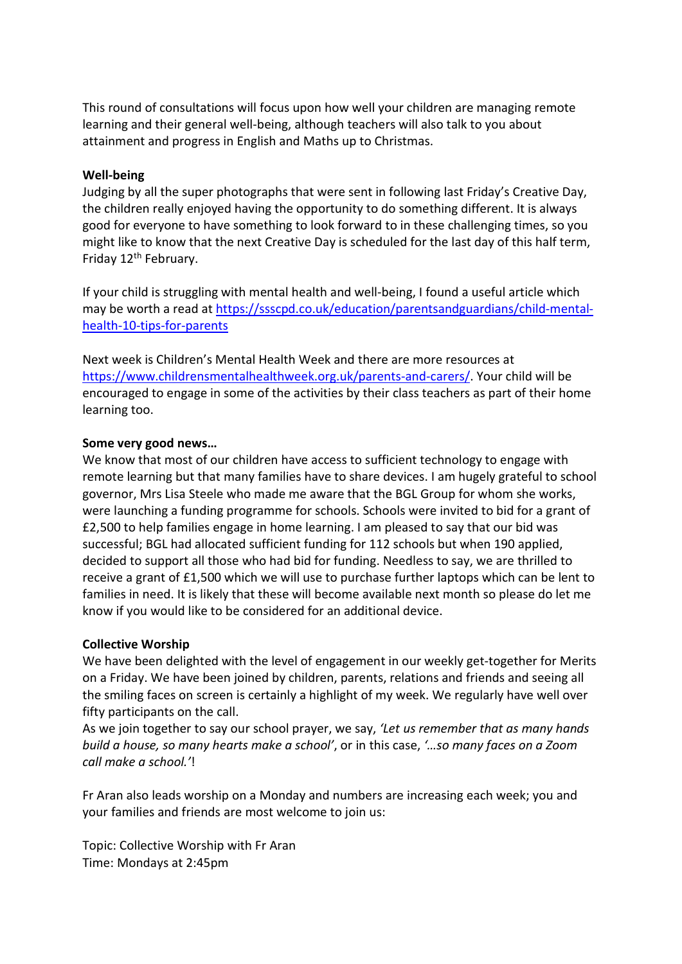This round of consultations will focus upon how well your children are managing remote learning and their general well-being, although teachers will also talk to you about attainment and progress in English and Maths up to Christmas.

### Well-being

Judging by all the super photographs that were sent in following last Friday's Creative Day, the children really enjoyed having the opportunity to do something different. It is always good for everyone to have something to look forward to in these challenging times, so you might like to know that the next Creative Day is scheduled for the last day of this half term, Friday 12<sup>th</sup> February.

If your child is struggling with mental health and well-being, I found a useful article which may be worth a read at https://ssscpd.co.uk/education/parentsandguardians/child-mentalhealth-10-tips-for-parents

Next week is Children's Mental Health Week and there are more resources at https://www.childrensmentalhealthweek.org.uk/parents-and-carers/. Your child will be encouraged to engage in some of the activities by their class teachers as part of their home learning too.

#### Some very good news…

We know that most of our children have access to sufficient technology to engage with remote learning but that many families have to share devices. I am hugely grateful to school governor, Mrs Lisa Steele who made me aware that the BGL Group for whom she works, were launching a funding programme for schools. Schools were invited to bid for a grant of £2,500 to help families engage in home learning. I am pleased to say that our bid was successful; BGL had allocated sufficient funding for 112 schools but when 190 applied, decided to support all those who had bid for funding. Needless to say, we are thrilled to receive a grant of £1,500 which we will use to purchase further laptops which can be lent to families in need. It is likely that these will become available next month so please do let me know if you would like to be considered for an additional device.

#### Collective Worship

We have been delighted with the level of engagement in our weekly get-together for Merits on a Friday. We have been joined by children, parents, relations and friends and seeing all the smiling faces on screen is certainly a highlight of my week. We regularly have well over fifty participants on the call.

As we join together to say our school prayer, we say, 'Let us remember that as many hands build a house, so many hearts make a school', or in this case, '…so many faces on a Zoom call make a school.'!

Fr Aran also leads worship on a Monday and numbers are increasing each week; you and your families and friends are most welcome to join us:

Topic: Collective Worship with Fr Aran Time: Mondays at 2:45pm